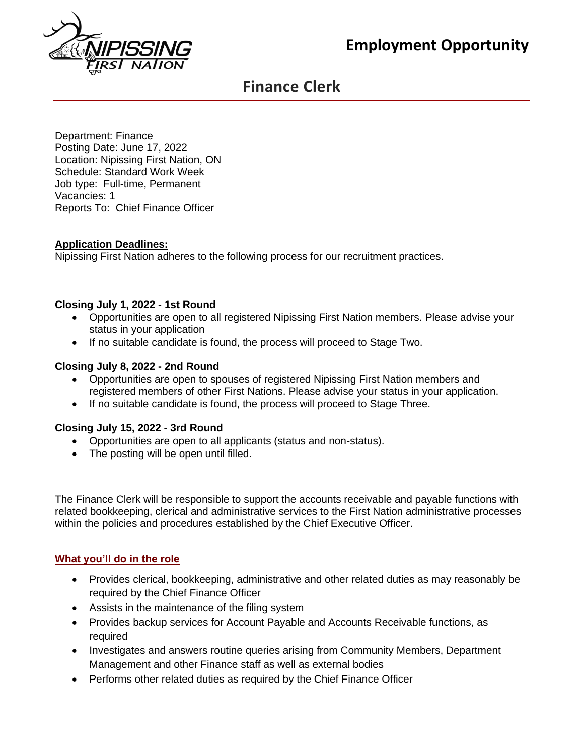# **Employment Opportunity**



## **Finance Clerk**

Department: Finance Posting Date: June 17, 2022 Location: Nipissing First Nation, ON Schedule: Standard Work Week Job type: Full-time, Permanent Vacancies: 1 Reports To: Chief Finance Officer

## **Application Deadlines:**

Nipissing First Nation adheres to the following process for our recruitment practices.

## **Closing July 1, 2022 - 1st Round**

- Opportunities are open to all registered Nipissing First Nation members. Please advise your status in your application
- If no suitable candidate is found, the process will proceed to Stage Two.

#### **Closing July 8, 2022 - 2nd Round**

- Opportunities are open to spouses of registered Nipissing First Nation members and registered members of other First Nations. Please advise your status in your application.
- If no suitable candidate is found, the process will proceed to Stage Three.

## **Closing July 15, 2022 - 3rd Round**

- Opportunities are open to all applicants (status and non-status).
- The posting will be open until filled.

The Finance Clerk will be responsible to support the accounts receivable and payable functions with related bookkeeping, clerical and administrative services to the First Nation administrative processes within the policies and procedures established by the Chief Executive Officer.

#### **What you'll do in the role**

- Provides clerical, bookkeeping, administrative and other related duties as may reasonably be required by the Chief Finance Officer
- Assists in the maintenance of the filing system
- Provides backup services for Account Payable and Accounts Receivable functions, as required
- Investigates and answers routine queries arising from Community Members, Department Management and other Finance staff as well as external bodies
- Performs other related duties as required by the Chief Finance Officer